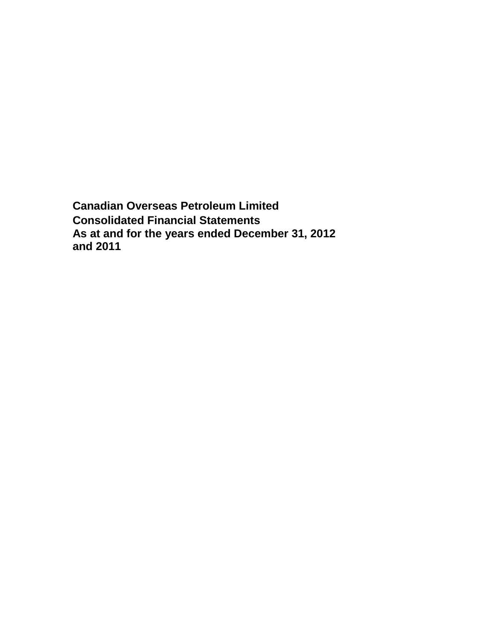**Canadian Overseas Petroleum Limited Consolidated Financial Statements As at and for the years ended December 31, 2012 and 2011**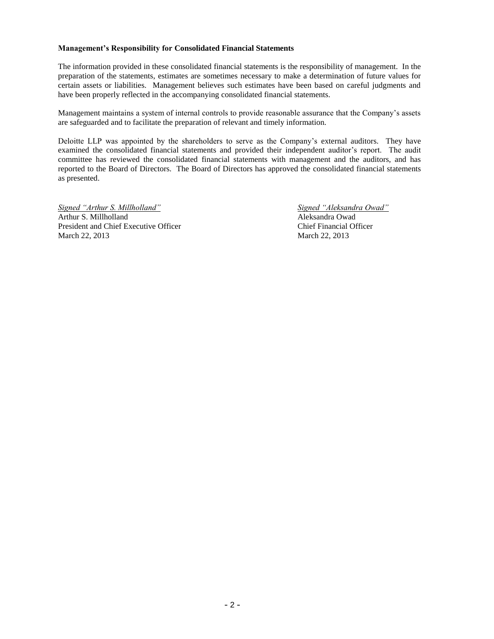### **Management's Responsibility for Consolidated Financial Statements**

The information provided in these consolidated financial statements is the responsibility of management. In the preparation of the statements, estimates are sometimes necessary to make a determination of future values for certain assets or liabilities. Management believes such estimates have been based on careful judgments and have been properly reflected in the accompanying consolidated financial statements.

Management maintains a system of internal controls to provide reasonable assurance that the Company's assets are safeguarded and to facilitate the preparation of relevant and timely information.

Deloitte LLP was appointed by the shareholders to serve as the Company's external auditors. They have examined the consolidated financial statements and provided their independent auditor's report. The audit committee has reviewed the consolidated financial statements with management and the auditors, and has reported to the Board of Directors. The Board of Directors has approved the consolidated financial statements as presented.

*Signed "Arthur S. Millholland" Signed "Aleksandra Owad"* Arthur S. Millholland Aleksandra Owad President and Chief Executive Officer Chief Financial Officer March 22, 2013 March 22, 2013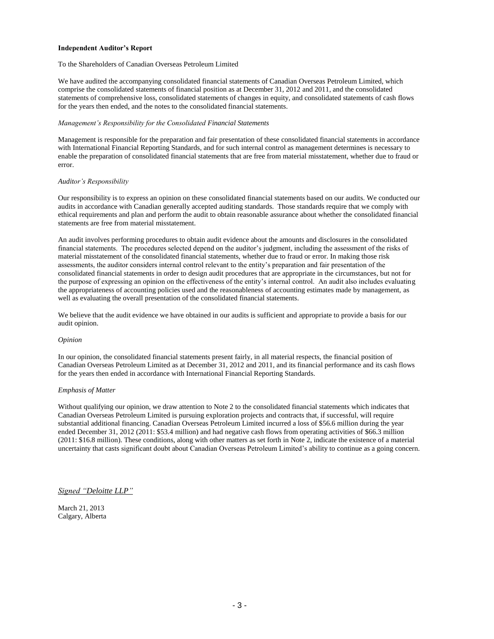#### **Independent Auditor's Report**

#### To the Shareholders of Canadian Overseas Petroleum Limited

We have audited the accompanying consolidated financial statements of Canadian Overseas Petroleum Limited, which comprise the consolidated statements of financial position as at December 31, 2012 and 2011, and the consolidated statements of comprehensive loss, consolidated statements of changes in equity, and consolidated statements of cash flows for the years then ended, and the notes to the consolidated financial statements.

#### *Management's Responsibility for the Consolidated Financial Statements*

Management is responsible for the preparation and fair presentation of these consolidated financial statements in accordance with International Financial Reporting Standards, and for such internal control as management determines is necessary to enable the preparation of consolidated financial statements that are free from material misstatement, whether due to fraud or error.

#### *Auditor's Responsibility*

Our responsibility is to express an opinion on these consolidated financial statements based on our audits. We conducted our audits in accordance with Canadian generally accepted auditing standards. Those standards require that we comply with ethical requirements and plan and perform the audit to obtain reasonable assurance about whether the consolidated financial statements are free from material misstatement.

An audit involves performing procedures to obtain audit evidence about the amounts and disclosures in the consolidated financial statements. The procedures selected depend on the auditor's judgment, including the assessment of the risks of material misstatement of the consolidated financial statements, whether due to fraud or error. In making those risk assessments, the auditor considers internal control relevant to the entity's preparation and fair presentation of the consolidated financial statements in order to design audit procedures that are appropriate in the circumstances, but not for the purpose of expressing an opinion on the effectiveness of the entity's internal control. An audit also includes evaluating the appropriateness of accounting policies used and the reasonableness of accounting estimates made by management, as well as evaluating the overall presentation of the consolidated financial statements.

We believe that the audit evidence we have obtained in our audits is sufficient and appropriate to provide a basis for our audit opinion.

#### *Opinion*

In our opinion, the consolidated financial statements present fairly, in all material respects, the financial position of Canadian Overseas Petroleum Limited as at December 31, 2012 and 2011, and its financial performance and its cash flows for the years then ended in accordance with International Financial Reporting Standards.

#### *Emphasis of Matter*

Without qualifying our opinion, we draw attention to Note 2 to the consolidated financial statements which indicates that Canadian Overseas Petroleum Limited is pursuing exploration projects and contracts that, if successful, will require substantial additional financing. Canadian Overseas Petroleum Limited incurred a loss of \$56.6 million during the year ended December 31, 2012 (2011: \$53.4 million) and had negative cash flows from operating activities of \$66.3 million (2011: \$16.8 million). These conditions, along with other matters as set forth in Note 2, indicate the existence of a material uncertainty that casts significant doubt about Canadian Overseas Petroleum Limited's ability to continue as a going concern.

*Signed "Deloitte LLP"*

March 21, 2013 Calgary, Alberta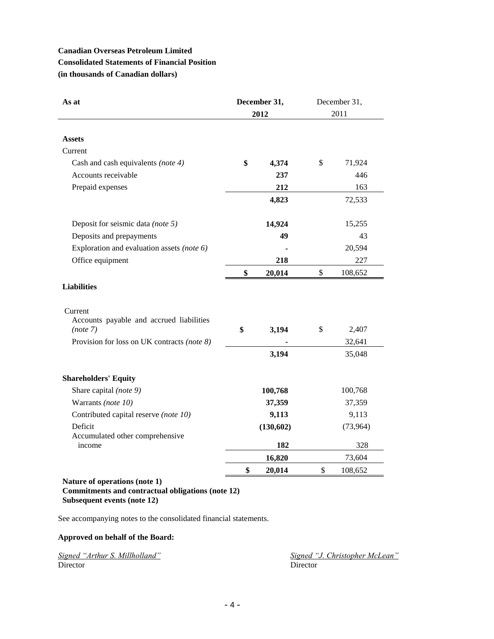# **Canadian Overseas Petroleum Limited Consolidated Statements of Financial Position (in thousands of Canadian dollars)**

| As at                                                | December 31,<br>2012 |            | December 31,<br>2011 |
|------------------------------------------------------|----------------------|------------|----------------------|
| <b>Assets</b>                                        |                      |            |                      |
| Current                                              |                      |            |                      |
| Cash and cash equivalents (note 4)                   | \$                   | 4,374      | \$<br>71,924         |
| Accounts receivable                                  |                      | 237        | 446                  |
| Prepaid expenses                                     |                      | 212        | 163                  |
|                                                      |                      | 4,823      | 72,533               |
| Deposit for seismic data (note 5)                    |                      | 14,924     | 15,255               |
| Deposits and prepayments                             |                      | 49         | 43                   |
| Exploration and evaluation assets (note $6$ )        |                      |            | 20,594               |
| Office equipment                                     |                      | 218        | 227                  |
|                                                      | \$                   | 20,014     | \$<br>108,652        |
| <b>Liabilities</b>                                   |                      |            |                      |
| Current                                              |                      |            |                      |
| Accounts payable and accrued liabilities<br>(note 7) | \$                   | 3,194      | \$<br>2,407          |
| Provision for loss on UK contracts (note 8)          |                      |            | 32,641               |
|                                                      |                      | 3,194      | 35,048               |
| <b>Shareholders' Equity</b>                          |                      |            |                      |
| Share capital (note 9)                               |                      | 100,768    | 100,768              |
| Warrants (note 10)                                   |                      | 37,359     | 37,359               |
| Contributed capital reserve (note 10)                |                      | 9,113      | 9,113                |
| Deficit                                              |                      | (130, 602) | (73, 964)            |
| Accumulated other comprehensive<br>income            |                      | 182        | 328                  |
|                                                      |                      |            | 73,604               |
|                                                      | \$                   | 16,820     | \$<br>108,652        |
|                                                      |                      | 20,014     |                      |

**Nature of operations (note 1) Commitments and contractual obligations (note 12) Subsequent events (note 12)**

See accompanying notes to the consolidated financial statements.

## **Approved on behalf of the Board:**

| Signed "Arthur S. Millholland" | Signed ' |
|--------------------------------|----------|
| Director                       | Director |

*Signed "J. Christopher McLean"*<br>Director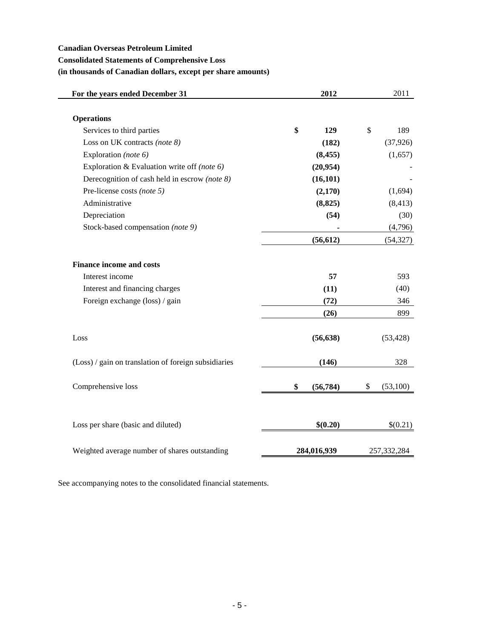### **Canadian Overseas Petroleum Limited**

## **Consolidated Statements of Comprehensive Loss**

# **(in thousands of Canadian dollars, except per share amounts)**

| For the years ended December 31                      | 2012            | 2011           |
|------------------------------------------------------|-----------------|----------------|
|                                                      |                 |                |
| <b>Operations</b>                                    |                 |                |
| Services to third parties                            | \$<br>129       | \$<br>189      |
| Loss on UK contracts (note $8$ )                     | (182)           | (37, 926)      |
| Exploration (note 6)                                 | (8, 455)        | (1,657)        |
| Exploration & Evaluation write off (note 6)          | (20, 954)       |                |
| Derecognition of cash held in escrow (note 8)        | (16, 101)       |                |
| Pre-license costs (note 5)                           | (2,170)         | (1,694)        |
| Administrative                                       | (8, 825)        | (8, 413)       |
| Depreciation                                         | (54)            | (30)           |
| Stock-based compensation (note 9)                    |                 | (4,796)        |
|                                                      | (56, 612)       | (54, 327)      |
| <b>Finance income and costs</b>                      |                 |                |
| Interest income                                      | 57              | 593            |
| Interest and financing charges                       | (11)            | (40)           |
| Foreign exchange (loss) / gain                       | (72)            | 346            |
|                                                      | (26)            | 899            |
| Loss                                                 | (56, 638)       | (53, 428)      |
| (Loss) / gain on translation of foreign subsidiaries | (146)           | 328            |
| Comprehensive loss                                   | \$<br>(56, 784) | \$<br>(53,100) |
|                                                      |                 |                |
| Loss per share (basic and diluted)                   | \$(0.20)        | \$(0.21)       |
| Weighted average number of shares outstanding        | 284,016,939     | 257,332,284    |

See accompanying notes to the consolidated financial statements.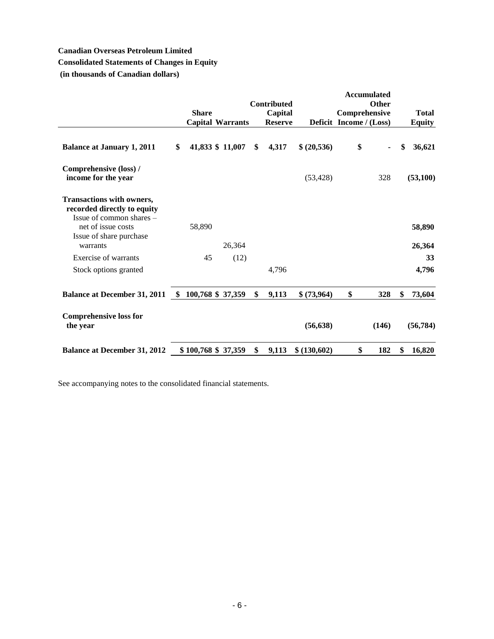# **Canadian Overseas Petroleum Limited**

# **Consolidated Statements of Changes in Equity**

**(in thousands of Canadian dollars)**

|                                                                                      |                         |                         |    | <b>Contributed</b> |              |                         | <b>Accumulated</b><br><b>Other</b> |               |
|--------------------------------------------------------------------------------------|-------------------------|-------------------------|----|--------------------|--------------|-------------------------|------------------------------------|---------------|
|                                                                                      | <b>Share</b>            |                         |    | Capital            |              |                         | Comprehensive                      | <b>Total</b>  |
|                                                                                      |                         | <b>Capital Warrants</b> |    | <b>Reserve</b>     |              | Deficit Income / (Loss) |                                    | <b>Equity</b> |
| <b>Balance at January 1, 2011</b>                                                    | \$<br>41,833 \$ 11,007  |                         | S. | 4,317              | \$ (20,536)  | \$                      |                                    | \$<br>36,621  |
| Comprehensive (loss) /<br>income for the year                                        |                         |                         |    |                    | (53, 428)    |                         | 328                                | (53,100)      |
| Transactions with owners,<br>recorded directly to equity<br>Issue of common shares – |                         |                         |    |                    |              |                         |                                    |               |
| net of issue costs<br>Issue of share purchase                                        | 58,890                  |                         |    |                    |              |                         |                                    | 58,890        |
| warrants                                                                             |                         | 26,364                  |    |                    |              |                         |                                    | 26,364        |
| Exercise of warrants                                                                 | 45                      | (12)                    |    |                    |              |                         |                                    | 33            |
| Stock options granted                                                                |                         |                         |    | 4,796              |              |                         |                                    | 4,796         |
| <b>Balance at December 31, 2011</b>                                                  | \$<br>100,768 \$ 37,359 |                         | \$ | 9,113              | \$(73,964)   | \$                      | 328                                | 73,604        |
| <b>Comprehensive loss for</b><br>the year                                            |                         |                         |    |                    | (56, 638)    |                         | (146)                              | (56, 784)     |
| <b>Balance at December 31, 2012</b>                                                  | \$100,768 \$37,359      |                         | \$ | 9,113              | \$ (130,602) | \$                      | 182                                | \$<br>16,820  |

See accompanying notes to the consolidated financial statements.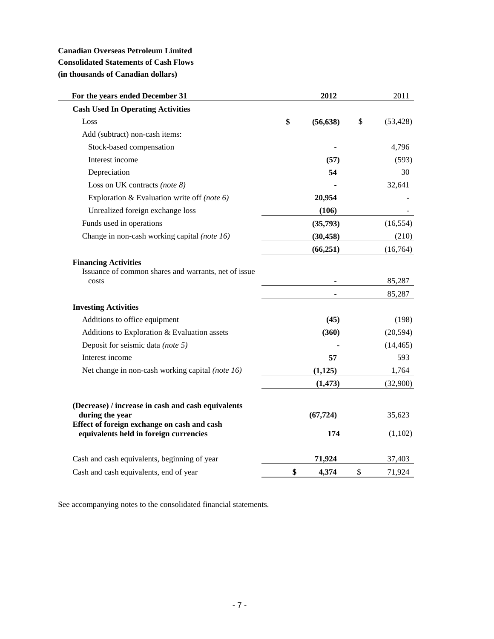# **Canadian Overseas Petroleum Limited Consolidated Statements of Cash Flows (in thousands of Canadian dollars)**

| For the years ended December 31                                                                                      | 2012            | 2011             |
|----------------------------------------------------------------------------------------------------------------------|-----------------|------------------|
| <b>Cash Used In Operating Activities</b>                                                                             |                 |                  |
| Loss                                                                                                                 | \$<br>(56, 638) | \$<br>(53, 428)  |
| Add (subtract) non-cash items:                                                                                       |                 |                  |
| Stock-based compensation                                                                                             |                 | 4,796            |
| Interest income                                                                                                      | (57)            | (593)            |
| Depreciation                                                                                                         | 54              | 30               |
| Loss on UK contracts (note $8$ )                                                                                     |                 | 32,641           |
| Exploration & Evaluation write off (note 6)                                                                          | 20,954          |                  |
| Unrealized foreign exchange loss                                                                                     | (106)           |                  |
| Funds used in operations                                                                                             | (35,793)        | (16, 554)        |
| Change in non-cash working capital (note 16)                                                                         | (30, 458)       | (210)            |
|                                                                                                                      | (66, 251)       | (16,764)         |
| <b>Financing Activities</b><br>Issuance of common shares and warrants, net of issue<br>costs                         |                 | 85,287<br>85,287 |
| <b>Investing Activities</b>                                                                                          |                 |                  |
| Additions to office equipment                                                                                        | (45)            | (198)            |
| Additions to Exploration & Evaluation assets                                                                         | (360)           | (20, 594)        |
| Deposit for seismic data (note 5)                                                                                    |                 | (14, 465)        |
| Interest income                                                                                                      | 57              | 593              |
| Net change in non-cash working capital (note 16)                                                                     | (1, 125)        | 1,764            |
|                                                                                                                      | (1, 473)        | (32,900)         |
| (Decrease) / increase in cash and cash equivalents<br>during the year<br>Effect of foreign exchange on cash and cash | (67, 724)       | 35,623           |
| equivalents held in foreign currencies                                                                               | 174             | (1,102)          |
| Cash and cash equivalents, beginning of year                                                                         | 71,924          | 37,403           |
| Cash and cash equivalents, end of year                                                                               | \$<br>4,374     | \$<br>71,924     |

See accompanying notes to the consolidated financial statements.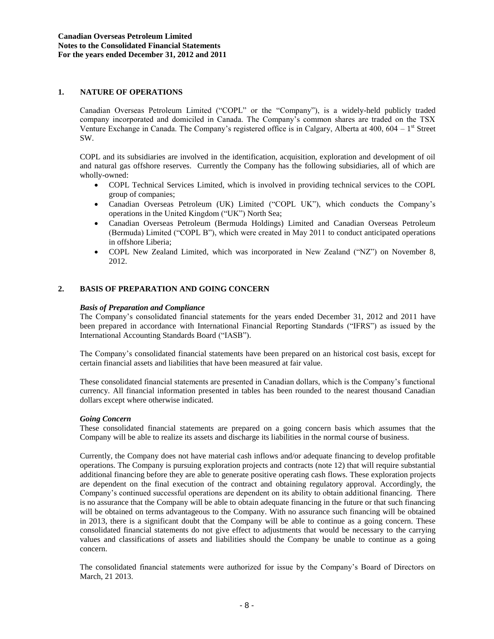### **1. NATURE OF OPERATIONS**

Canadian Overseas Petroleum Limited ("COPL" or the "Company"), is a widely-held publicly traded company incorporated and domiciled in Canada. The Company's common shares are traded on the TSX Venture Exchange in Canada. The Company's registered office is in Calgary, Alberta at 400, 604 –  $1<sup>st</sup>$  Street SW.

COPL and its subsidiaries are involved in the identification, acquisition, exploration and development of oil and natural gas offshore reserves. Currently the Company has the following subsidiaries, all of which are wholly-owned:

- COPL Technical Services Limited, which is involved in providing technical services to the COPL group of companies;
- Canadian Overseas Petroleum (UK) Limited ("COPL UK"), which conducts the Company's operations in the United Kingdom ("UK") North Sea;
- Canadian Overseas Petroleum (Bermuda Holdings) Limited and Canadian Overseas Petroleum (Bermuda) Limited ("COPL B"), which were created in May 2011 to conduct anticipated operations in offshore Liberia;
- COPL New Zealand Limited, which was incorporated in New Zealand ("NZ") on November 8, 2012.

### **2. BASIS OF PREPARATION AND GOING CONCERN**

#### *Basis of Preparation and Compliance*

The Company's consolidated financial statements for the years ended December 31, 2012 and 2011 have been prepared in accordance with International Financial Reporting Standards ("IFRS") as issued by the International Accounting Standards Board ("IASB").

The Company's consolidated financial statements have been prepared on an historical cost basis, except for certain financial assets and liabilities that have been measured at fair value.

These consolidated financial statements are presented in Canadian dollars, which is the Company's functional currency. All financial information presented in tables has been rounded to the nearest thousand Canadian dollars except where otherwise indicated.

#### *Going Concern*

These consolidated financial statements are prepared on a going concern basis which assumes that the Company will be able to realize its assets and discharge its liabilities in the normal course of business.

Currently, the Company does not have material cash inflows and/or adequate financing to develop profitable operations. The Company is pursuing exploration projects and contracts (note 12) that will require substantial additional financing before they are able to generate positive operating cash flows. These exploration projects are dependent on the final execution of the contract and obtaining regulatory approval. Accordingly, the Company's continued successful operations are dependent on its ability to obtain additional financing. There is no assurance that the Company will be able to obtain adequate financing in the future or that such financing will be obtained on terms advantageous to the Company. With no assurance such financing will be obtained in 2013, there is a significant doubt that the Company will be able to continue as a going concern. These consolidated financial statements do not give effect to adjustments that would be necessary to the carrying values and classifications of assets and liabilities should the Company be unable to continue as a going concern.

The consolidated financial statements were authorized for issue by the Company's Board of Directors on March, 21 2013.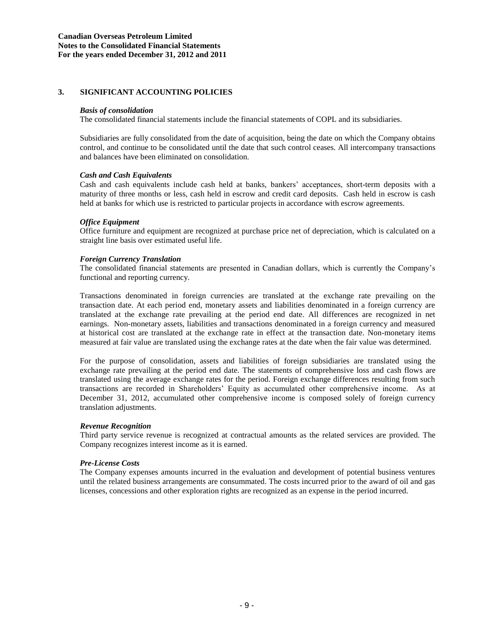### **3. SIGNIFICANT ACCOUNTING POLICIES**

#### *Basis of consolidation*

The consolidated financial statements include the financial statements of COPL and its subsidiaries.

Subsidiaries are fully consolidated from the date of acquisition, being the date on which the Company obtains control, and continue to be consolidated until the date that such control ceases. All intercompany transactions and balances have been eliminated on consolidation.

### *Cash and Cash Equivalents*

Cash and cash equivalents include cash held at banks, bankers' acceptances, short-term deposits with a maturity of three months or less, cash held in escrow and credit card deposits. Cash held in escrow is cash held at banks for which use is restricted to particular projects in accordance with escrow agreements.

### *Office Equipment*

Office furniture and equipment are recognized at purchase price net of depreciation, which is calculated on a straight line basis over estimated useful life.

### *Foreign Currency Translation*

The consolidated financial statements are presented in Canadian dollars, which is currently the Company's functional and reporting currency.

Transactions denominated in foreign currencies are translated at the exchange rate prevailing on the transaction date. At each period end, monetary assets and liabilities denominated in a foreign currency are translated at the exchange rate prevailing at the period end date. All differences are recognized in net earnings. Non-monetary assets, liabilities and transactions denominated in a foreign currency and measured at historical cost are translated at the exchange rate in effect at the transaction date. Non-monetary items measured at fair value are translated using the exchange rates at the date when the fair value was determined.

For the purpose of consolidation, assets and liabilities of foreign subsidiaries are translated using the exchange rate prevailing at the period end date. The statements of comprehensive loss and cash flows are translated using the average exchange rates for the period. Foreign exchange differences resulting from such transactions are recorded in Shareholders' Equity as accumulated other comprehensive income. As at December 31, 2012, accumulated other comprehensive income is composed solely of foreign currency translation adjustments.

#### *Revenue Recognition*

Third party service revenue is recognized at contractual amounts as the related services are provided. The Company recognizes interest income as it is earned.

### *Pre-License Costs*

The Company expenses amounts incurred in the evaluation and development of potential business ventures until the related business arrangements are consummated. The costs incurred prior to the award of oil and gas licenses, concessions and other exploration rights are recognized as an expense in the period incurred.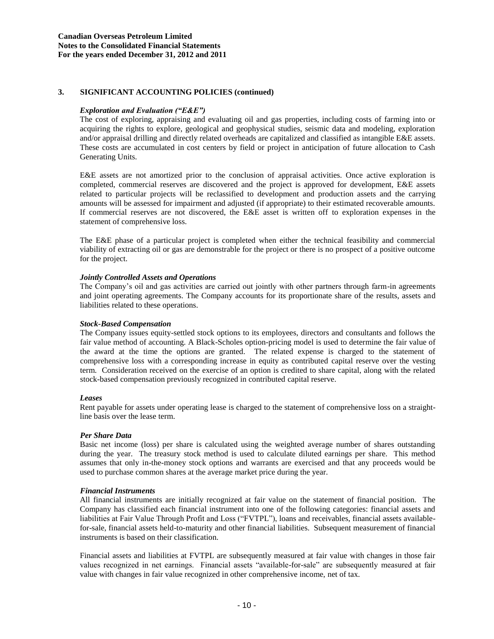### **3. SIGNIFICANT ACCOUNTING POLICIES (continued)**

### *Exploration and Evaluation ("E&E")*

The cost of exploring, appraising and evaluating oil and gas properties, including costs of farming into or acquiring the rights to explore, geological and geophysical studies, seismic data and modeling, exploration and/or appraisal drilling and directly related overheads are capitalized and classified as intangible E&E assets. These costs are accumulated in cost centers by field or project in anticipation of future allocation to Cash Generating Units.

E&E assets are not amortized prior to the conclusion of appraisal activities. Once active exploration is completed, commercial reserves are discovered and the project is approved for development, E&E assets related to particular projects will be reclassified to development and production assets and the carrying amounts will be assessed for impairment and adjusted (if appropriate) to their estimated recoverable amounts. If commercial reserves are not discovered, the E&E asset is written off to exploration expenses in the statement of comprehensive loss.

The E&E phase of a particular project is completed when either the technical feasibility and commercial viability of extracting oil or gas are demonstrable for the project or there is no prospect of a positive outcome for the project.

### *Jointly Controlled Assets and Operations*

The Company's oil and gas activities are carried out jointly with other partners through farm-in agreements and joint operating agreements. The Company accounts for its proportionate share of the results, assets and liabilities related to these operations.

#### *Stock-Based Compensation*

The Company issues equity-settled stock options to its employees, directors and consultants and follows the fair value method of accounting. A Black-Scholes option-pricing model is used to determine the fair value of the award at the time the options are granted. The related expense is charged to the statement of comprehensive loss with a corresponding increase in equity as contributed capital reserve over the vesting term. Consideration received on the exercise of an option is credited to share capital, along with the related stock-based compensation previously recognized in contributed capital reserve.

#### *Leases*

Rent payable for assets under operating lease is charged to the statement of comprehensive loss on a straightline basis over the lease term.

#### *Per Share Data*

Basic net income (loss) per share is calculated using the weighted average number of shares outstanding during the year. The treasury stock method is used to calculate diluted earnings per share. This method assumes that only in-the-money stock options and warrants are exercised and that any proceeds would be used to purchase common shares at the average market price during the year.

#### *Financial Instruments*

All financial instruments are initially recognized at fair value on the statement of financial position. The Company has classified each financial instrument into one of the following categories: financial assets and liabilities at Fair Value Through Profit and Loss ("FVTPL"), loans and receivables, financial assets availablefor-sale, financial assets held-to-maturity and other financial liabilities. Subsequent measurement of financial instruments is based on their classification.

Financial assets and liabilities at FVTPL are subsequently measured at fair value with changes in those fair values recognized in net earnings. Financial assets "available-for-sale" are subsequently measured at fair value with changes in fair value recognized in other comprehensive income, net of tax.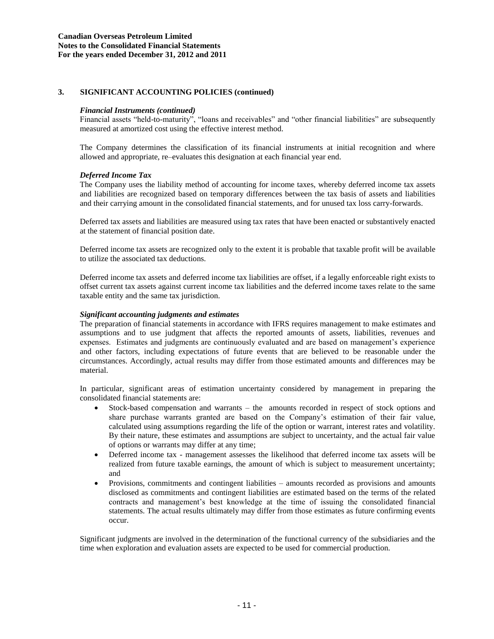### **3. SIGNIFICANT ACCOUNTING POLICIES (continued)**

#### *Financial Instruments (continued)*

Financial assets "held-to-maturity", "loans and receivables" and "other financial liabilities" are subsequently measured at amortized cost using the effective interest method.

The Company determines the classification of its financial instruments at initial recognition and where allowed and appropriate, re–evaluates this designation at each financial year end.

### *Deferred Income Tax*

The Company uses the liability method of accounting for income taxes, whereby deferred income tax assets and liabilities are recognized based on temporary differences between the tax basis of assets and liabilities and their carrying amount in the consolidated financial statements, and for unused tax loss carry-forwards.

Deferred tax assets and liabilities are measured using tax rates that have been enacted or substantively enacted at the statement of financial position date.

Deferred income tax assets are recognized only to the extent it is probable that taxable profit will be available to utilize the associated tax deductions.

Deferred income tax assets and deferred income tax liabilities are offset, if a legally enforceable right exists to offset current tax assets against current income tax liabilities and the deferred income taxes relate to the same taxable entity and the same tax jurisdiction.

#### *Significant accounting judgments and estimates*

The preparation of financial statements in accordance with IFRS requires management to make estimates and assumptions and to use judgment that affects the reported amounts of assets, liabilities, revenues and expenses. Estimates and judgments are continuously evaluated and are based on management's experience and other factors, including expectations of future events that are believed to be reasonable under the circumstances. Accordingly, actual results may differ from those estimated amounts and differences may be material.

In particular, significant areas of estimation uncertainty considered by management in preparing the consolidated financial statements are:

- Stock-based compensation and warrants the amounts recorded in respect of stock options and share purchase warrants granted are based on the Company's estimation of their fair value, calculated using assumptions regarding the life of the option or warrant, interest rates and volatility. By their nature, these estimates and assumptions are subject to uncertainty, and the actual fair value of options or warrants may differ at any time;
- Deferred income tax management assesses the likelihood that deferred income tax assets will be realized from future taxable earnings, the amount of which is subject to measurement uncertainty; and
- Provisions, commitments and contingent liabilities amounts recorded as provisions and amounts disclosed as commitments and contingent liabilities are estimated based on the terms of the related contracts and management's best knowledge at the time of issuing the consolidated financial statements. The actual results ultimately may differ from those estimates as future confirming events occur.

Significant judgments are involved in the determination of the functional currency of the subsidiaries and the time when exploration and evaluation assets are expected to be used for commercial production.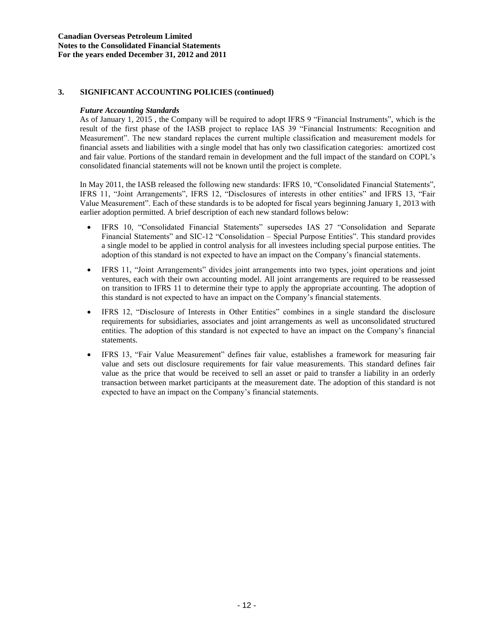## **3. SIGNIFICANT ACCOUNTING POLICIES (continued)**

### *Future Accounting Standards*

As of January 1, 2015 , the Company will be required to adopt IFRS 9 "Financial Instruments", which is the result of the first phase of the IASB project to replace IAS 39 "Financial Instruments: Recognition and Measurement". The new standard replaces the current multiple classification and measurement models for financial assets and liabilities with a single model that has only two classification categories: amortized cost and fair value. Portions of the standard remain in development and the full impact of the standard on COPL's consolidated financial statements will not be known until the project is complete.

In May 2011, the IASB released the following new standards: IFRS 10, "Consolidated Financial Statements", IFRS 11, "Joint Arrangements", IFRS 12, "Disclosures of interests in other entities" and IFRS 13, "Fair Value Measurement". Each of these standards is to be adopted for fiscal years beginning January 1, 2013 with earlier adoption permitted. A brief description of each new standard follows below:

- IFRS 10, "Consolidated Financial Statements" supersedes IAS 27 "Consolidation and Separate Financial Statements" and SIC-12 "Consolidation – Special Purpose Entities". This standard provides a single model to be applied in control analysis for all investees including special purpose entities. The adoption of this standard is not expected to have an impact on the Company's financial statements.
- IFRS 11, "Joint Arrangements" divides joint arrangements into two types, joint operations and joint ventures, each with their own accounting model. All joint arrangements are required to be reassessed on transition to IFRS 11 to determine their type to apply the appropriate accounting. The adoption of this standard is not expected to have an impact on the Company's financial statements.
- IFRS 12, "Disclosure of Interests in Other Entities" combines in a single standard the disclosure requirements for subsidiaries, associates and joint arrangements as well as unconsolidated structured entities. The adoption of this standard is not expected to have an impact on the Company's financial statements.
- IFRS 13, "Fair Value Measurement" defines fair value, establishes a framework for measuring fair value and sets out disclosure requirements for fair value measurements. This standard defines fair value as the price that would be received to sell an asset or paid to transfer a liability in an orderly transaction between market participants at the measurement date. The adoption of this standard is not expected to have an impact on the Company's financial statements.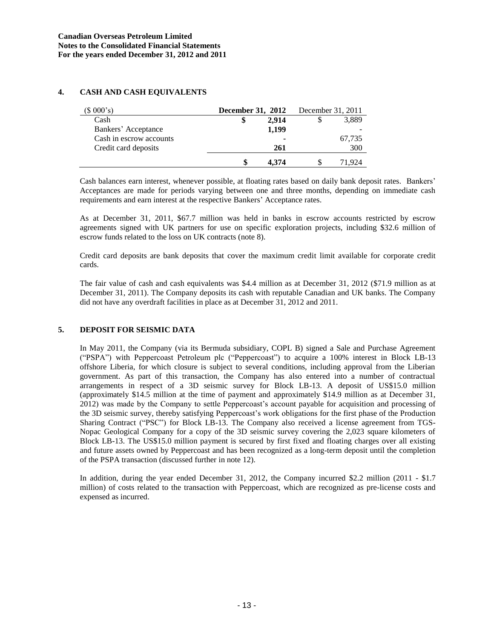## **4. CASH AND CASH EQUIVALENTS**

| (\$000's)               | December 31, 2012 | December 31, 2011 |  |
|-------------------------|-------------------|-------------------|--|
| Cash                    | 2.914             | 3,889             |  |
| Bankers' Acceptance     | 1,199             |                   |  |
| Cash in escrow accounts |                   | 67,735            |  |
| Credit card deposits    | 261               | 300               |  |
|                         | S<br>4.374        | 71.924            |  |

Cash balances earn interest, whenever possible, at floating rates based on daily bank deposit rates. Bankers' Acceptances are made for periods varying between one and three months, depending on immediate cash requirements and earn interest at the respective Bankers' Acceptance rates.

As at December 31, 2011, \$67.7 million was held in banks in escrow accounts restricted by escrow agreements signed with UK partners for use on specific exploration projects, including \$32.6 million of escrow funds related to the loss on UK contracts (note 8).

Credit card deposits are bank deposits that cover the maximum credit limit available for corporate credit cards.

The fair value of cash and cash equivalents was \$4.4 million as at December 31, 2012 (\$71.9 million as at December 31, 2011). The Company deposits its cash with reputable Canadian and UK banks. The Company did not have any overdraft facilities in place as at December 31, 2012 and 2011.

### **5. DEPOSIT FOR SEISMIC DATA**

In May 2011, the Company (via its Bermuda subsidiary, COPL B) signed a Sale and Purchase Agreement ("PSPA") with Peppercoast Petroleum plc ("Peppercoast") to acquire a 100% interest in Block LB-13 offshore Liberia, for which closure is subject to several conditions, including approval from the Liberian government. As part of this transaction, the Company has also entered into a number of contractual arrangements in respect of a 3D seismic survey for Block LB-13. A deposit of US\$15.0 million (approximately \$14.5 million at the time of payment and approximately \$14.9 million as at December 31, 2012) was made by the Company to settle Peppercoast's account payable for acquisition and processing of the 3D seismic survey, thereby satisfying Peppercoast's work obligations for the first phase of the Production Sharing Contract ("PSC") for Block LB-13. The Company also received a license agreement from TGS-Nopac Geological Company for a copy of the 3D seismic survey covering the 2,023 square kilometers of Block LB-13. The US\$15.0 million payment is secured by first fixed and floating charges over all existing and future assets owned by Peppercoast and has been recognized as a long-term deposit until the completion of the PSPA transaction (discussed further in note 12).

In addition, during the year ended December 31, 2012, the Company incurred \$2.2 million (2011 - \$1.7 million) of costs related to the transaction with Peppercoast, which are recognized as pre-license costs and expensed as incurred.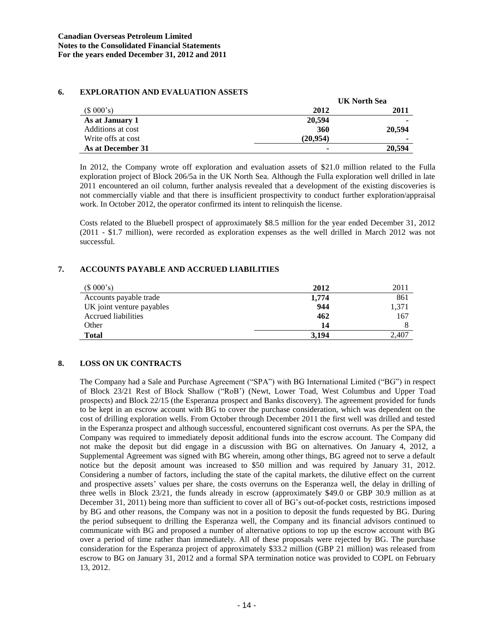## **6. EXPLORATION AND EVALUATION ASSETS**

|                    |          | <b>UK North Sea</b> |
|--------------------|----------|---------------------|
| (\$000's)          | 2012     | 2011                |
| As at January 1    | 20,594   | ۰                   |
| Additions at cost  | 360      | 20,594              |
| Write offs at cost | (20.954) | ۰                   |
| As at December 31  | ٠        | 20,594              |

In 2012, the Company wrote off exploration and evaluation assets of \$21.0 million related to the Fulla exploration project of Block 206/5a in the UK North Sea. Although the Fulla exploration well drilled in late 2011 encountered an oil column, further analysis revealed that a development of the existing discoveries is not commercially viable and that there is insufficient prospectivity to conduct further exploration/appraisal work. In October 2012, the operator confirmed its intent to relinquish the license.

Costs related to the Bluebell prospect of approximately \$8.5 million for the year ended December 31, 2012 (2011 - \$1.7 million), were recorded as exploration expenses as the well drilled in March 2012 was not successful.

## **7. ACCOUNTS PAYABLE AND ACCRUED LIABILITIES**

| (\$000's)                  | 2012  | 2011  |
|----------------------------|-------|-------|
| Accounts payable trade     | 1,774 | 861   |
| UK joint venture payables  | 944   | 1,371 |
| <b>Accrued liabilities</b> | 462   | 167   |
| Other                      | 14    |       |
| <b>Total</b>               | 3.194 | 2.407 |

## **8. LOSS ON UK CONTRACTS**

The Company had a Sale and Purchase Agreement ("SPA") with BG International Limited ("BG") in respect of Block 23/21 Rest of Block Shallow ("RoB') (Newt, Lower Toad, West Columbus and Upper Toad prospects) and Block 22/15 (the Esperanza prospect and Banks discovery). The agreement provided for funds to be kept in an escrow account with BG to cover the purchase consideration, which was dependent on the cost of drilling exploration wells. From October through December 2011 the first well was drilled and tested in the Esperanza prospect and although successful, encountered significant cost overruns. As per the SPA, the Company was required to immediately deposit additional funds into the escrow account. The Company did not make the deposit but did engage in a discussion with BG on alternatives. On January 4, 2012, a Supplemental Agreement was signed with BG wherein, among other things, BG agreed not to serve a default notice but the deposit amount was increased to \$50 million and was required by January 31, 2012. Considering a number of factors, including the state of the capital markets, the dilutive effect on the current and prospective assets' values per share, the costs overruns on the Esperanza well, the delay in drilling of three wells in Block 23/21, the funds already in escrow (approximately \$49.0 or GBP 30.9 million as at December 31, 2011) being more than sufficient to cover all of BG's out-of-pocket costs, restrictions imposed by BG and other reasons, the Company was not in a position to deposit the funds requested by BG. During the period subsequent to drilling the Esperanza well, the Company and its financial advisors continued to communicate with BG and proposed a number of alternative options to top up the escrow account with BG over a period of time rather than immediately. All of these proposals were rejected by BG. The purchase consideration for the Esperanza project of approximately \$33.2 million (GBP 21 million) was released from escrow to BG on January 31, 2012 and a formal SPA termination notice was provided to COPL on February 13, 2012.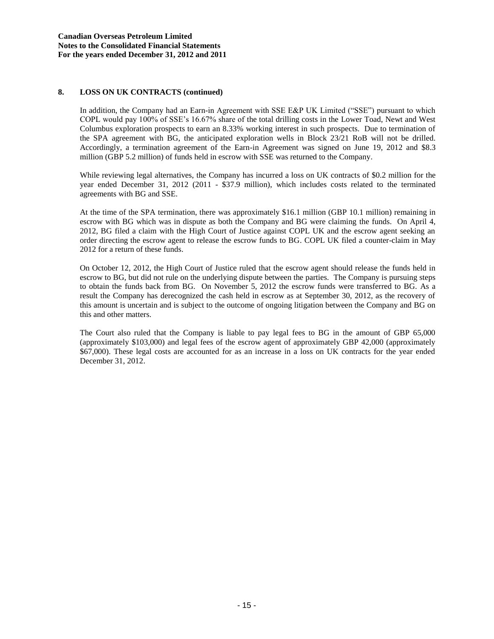### **8. LOSS ON UK CONTRACTS (continued)**

In addition, the Company had an Earn-in Agreement with SSE E&P UK Limited ("SSE") pursuant to which COPL would pay 100% of SSE's 16.67% share of the total drilling costs in the Lower Toad, Newt and West Columbus exploration prospects to earn an 8.33% working interest in such prospects. Due to termination of the SPA agreement with BG, the anticipated exploration wells in Block 23/21 RoB will not be drilled. Accordingly, a termination agreement of the Earn-in Agreement was signed on June 19, 2012 and \$8.3 million (GBP 5.2 million) of funds held in escrow with SSE was returned to the Company.

While reviewing legal alternatives, the Company has incurred a loss on UK contracts of \$0.2 million for the year ended December 31, 2012 (2011 - \$37.9 million), which includes costs related to the terminated agreements with BG and SSE.

At the time of the SPA termination, there was approximately \$16.1 million (GBP 10.1 million) remaining in escrow with BG which was in dispute as both the Company and BG were claiming the funds. On April 4, 2012, BG filed a claim with the High Court of Justice against COPL UK and the escrow agent seeking an order directing the escrow agent to release the escrow funds to BG. COPL UK filed a counter-claim in May 2012 for a return of these funds.

On October 12, 2012, the High Court of Justice ruled that the escrow agent should release the funds held in escrow to BG, but did not rule on the underlying dispute between the parties. The Company is pursuing steps to obtain the funds back from BG. On November 5, 2012 the escrow funds were transferred to BG. As a result the Company has derecognized the cash held in escrow as at September 30, 2012, as the recovery of this amount is uncertain and is subject to the outcome of ongoing litigation between the Company and BG on this and other matters.

The Court also ruled that the Company is liable to pay legal fees to BG in the amount of GBP 65,000 (approximately \$103,000) and legal fees of the escrow agent of approximately GBP 42,000 (approximately \$67,000). These legal costs are accounted for as an increase in a loss on UK contracts for the year ended December 31, 2012.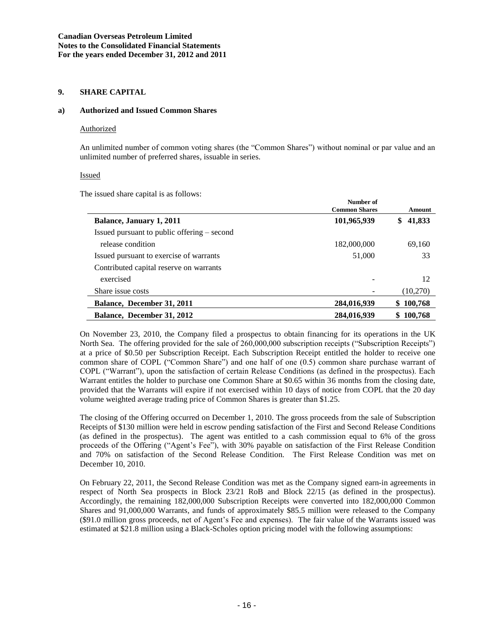### **9. SHARE CAPITAL**

#### **a) Authorized and Issued Common Shares**

#### Authorized

An unlimited number of common voting shares (the "Common Shares") without nominal or par value and an unlimited number of preferred shares, issuable in series.

#### Issued

The issued share capital is as follows:

|                                             | Number of<br><b>Common Shares</b> | Amount        |
|---------------------------------------------|-----------------------------------|---------------|
| Balance, January 1, 2011                    | 101,965,939                       | 41,833<br>S   |
| Issued pursuant to public offering – second |                                   |               |
| release condition                           | 182,000,000                       | 69,160        |
| Issued pursuant to exercise of warrants     | 51,000                            | 33            |
| Contributed capital reserve on warrants     |                                   |               |
| exercised                                   |                                   | 12            |
| Share issue costs                           |                                   | (10,270)      |
| Balance, December 31, 2011                  | 284,016,939                       | 100,768<br>S. |
| Balance, December 31, 2012                  | 284,016,939                       | 100,768<br>S  |

**Number of**

On November 23, 2010, the Company filed a prospectus to obtain financing for its operations in the UK North Sea. The offering provided for the sale of 260,000,000 subscription receipts ("Subscription Receipts") at a price of \$0.50 per Subscription Receipt. Each Subscription Receipt entitled the holder to receive one common share of COPL ("Common Share") and one half of one (0.5) common share purchase warrant of COPL ("Warrant"), upon the satisfaction of certain Release Conditions (as defined in the prospectus). Each Warrant entitles the holder to purchase one Common Share at \$0.65 within 36 months from the closing date, provided that the Warrants will expire if not exercised within 10 days of notice from COPL that the 20 day volume weighted average trading price of Common Shares is greater than \$1.25.

The closing of the Offering occurred on December 1, 2010. The gross proceeds from the sale of Subscription Receipts of \$130 million were held in escrow pending satisfaction of the First and Second Release Conditions (as defined in the prospectus). The agent was entitled to a cash commission equal to 6% of the gross proceeds of the Offering ("Agent's Fee"), with 30% payable on satisfaction of the First Release Condition and 70% on satisfaction of the Second Release Condition. The First Release Condition was met on December 10, 2010.

On February 22, 2011, the Second Release Condition was met as the Company signed earn-in agreements in respect of North Sea prospects in Block 23/21 RoB and Block 22/15 (as defined in the prospectus). Accordingly, the remaining 182,000,000 Subscription Receipts were converted into 182,000,000 Common Shares and 91,000,000 Warrants, and funds of approximately \$85.5 million were released to the Company (\$91.0 million gross proceeds, net of Agent's Fee and expenses). The fair value of the Warrants issued was estimated at \$21.8 million using a Black-Scholes option pricing model with the following assumptions: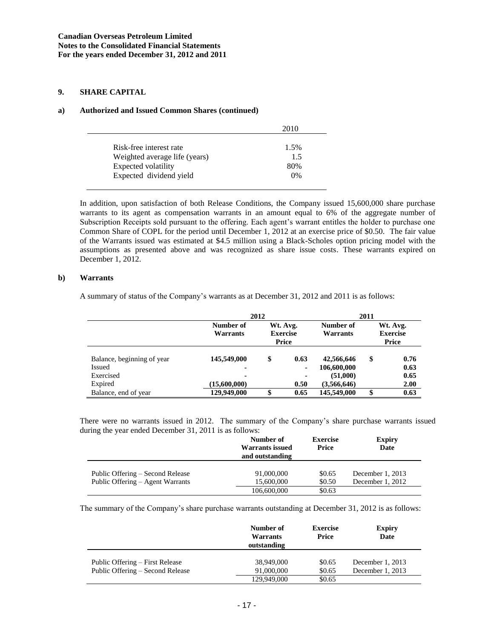### **9. SHARE CAPITAL**

#### **a) Authorized and Issued Common Shares (continued)**

|                               | 2010 |
|-------------------------------|------|
| Risk-free interest rate       | 1.5% |
| Weighted average life (years) | 1.5  |
| Expected volatility           | 80%  |
| Expected dividend yield       | 0%   |

In addition, upon satisfaction of both Release Conditions, the Company issued 15,600,000 share purchase warrants to its agent as compensation warrants in an amount equal to 6% of the aggregate number of Subscription Receipts sold pursuant to the offering. Each agent's warrant entitles the holder to purchase one Common Share of COPL for the period until December 1, 2012 at an exercise price of \$0.50. The fair value of the Warrants issued was estimated at \$4.5 million using a Black-Scholes option pricing model with the assumptions as presented above and was recognized as share issue costs. These warrants expired on December 1, 2012.

#### **b) Warrants**

A summary of status of the Company's warrants as at December 31, 2012 and 2011 is as follows:

|                            | 2012           |                 |                |             | 2011 |                 |  |
|----------------------------|----------------|-----------------|----------------|-------------|------|-----------------|--|
|                            | Number of      |                 | Wt. Avg.       | Number of   |      | Wt. Avg.        |  |
|                            | Warrants       | <b>Exercise</b> |                | Warrants    |      | <b>Exercise</b> |  |
|                            |                |                 | Price          |             |      | Price           |  |
| Balance, beginning of year | 145,549,000    | \$              | 0.63           | 42,566,646  | \$   | 0.76            |  |
| Issued                     | $\blacksquare$ |                 | ٠              | 106,600,000 |      | 0.63            |  |
| Exercised                  | $\blacksquare$ |                 | $\blacksquare$ | (51,000)    |      | 0.65            |  |
| Expired                    | (15,600,000)   |                 | 0.50           | (3,566,646) |      | 2.00            |  |
| Balance, end of year       | 129,949,000    | \$              | 0.65           | 145,549,000 | \$   | 0.63            |  |

There were no warrants issued in 2012. The summary of the Company's share purchase warrants issued during the year ended December 31, 2011 is as follows:

|                                                                      | Number of<br><b>Warrants issued</b><br>and outstanding | <b>Exercise</b><br>Price | <b>Expiry</b><br>Date                  |
|----------------------------------------------------------------------|--------------------------------------------------------|--------------------------|----------------------------------------|
| Public Offering – Second Release<br>Public Offering – Agent Warrants | 91,000,000<br>15,600,000                               | \$0.65<br>\$0.50         | December $1, 2013$<br>December 1, 2012 |
|                                                                      | 106,600,000                                            | \$0.63                   |                                        |

The summary of the Company's share purchase warrants outstanding at December 31, 2012 is as follows:

|                                                                     | Number of<br>Warrants<br>outstanding | <b>Exercise</b><br>Price | <b>Expiry</b><br>Date                  |
|---------------------------------------------------------------------|--------------------------------------|--------------------------|----------------------------------------|
| Public Offering - First Release<br>Public Offering – Second Release | 38,949,000<br>91,000,000             | \$0.65<br>\$0.65         | December $1, 2013$<br>December 1, 2013 |
|                                                                     | 129,949,000                          | \$0.65                   |                                        |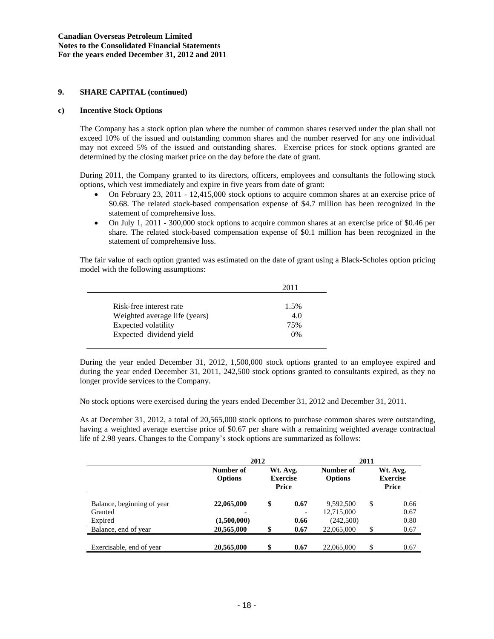### **9. SHARE CAPITAL (continued)**

#### **c) Incentive Stock Options**

The Company has a stock option plan where the number of common shares reserved under the plan shall not exceed 10% of the issued and outstanding common shares and the number reserved for any one individual may not exceed 5% of the issued and outstanding shares. Exercise prices for stock options granted are determined by the closing market price on the day before the date of grant.

During 2011, the Company granted to its directors, officers, employees and consultants the following stock options, which vest immediately and expire in five years from date of grant:

- On February 23, 2011 12,415,000 stock options to acquire common shares at an exercise price of \$0.68. The related stock-based compensation expense of \$4.7 million has been recognized in the statement of comprehensive loss.
- On July 1, 2011 300,000 stock options to acquire common shares at an exercise price of \$0.46 per share. The related stock-based compensation expense of \$0.1 million has been recognized in the statement of comprehensive loss.

The fair value of each option granted was estimated on the date of grant using a Black-Scholes option pricing model with the following assumptions:

|                               | 2011 |
|-------------------------------|------|
| Risk-free interest rate       | 1.5% |
| Weighted average life (years) | 4.0  |
| Expected volatility           | 75%  |
| Expected dividend yield       | 0%   |

During the year ended December 31, 2012, 1,500,000 stock options granted to an employee expired and during the year ended December 31, 2011, 242,500 stock options granted to consultants expired, as they no longer provide services to the Company.

No stock options were exercised during the years ended December 31, 2012 and December 31, 2011.

As at December 31, 2012, a total of 20,565,000 stock options to purchase common shares were outstanding, having a weighted average exercise price of \$0.67 per share with a remaining weighted average contractual life of 2.98 years. Changes to the Company's stock options are summarized as follows:

| Number of<br>Wt. Avg.<br><b>Exercise</b><br><b>Options</b><br>Price |                                                       | Number of<br>Wt. Avg.<br><b>Exercise</b><br><b>Options</b><br>Price |              |                         |          |
|---------------------------------------------------------------------|-------------------------------------------------------|---------------------------------------------------------------------|--------------|-------------------------|----------|
|                                                                     |                                                       |                                                                     |              |                         | 0.66     |
|                                                                     |                                                       | $\blacksquare$                                                      | 12,715,000   |                         | 0.67     |
|                                                                     |                                                       | 0.66                                                                | (242,500)    |                         | 0.80     |
|                                                                     | \$                                                    | 0.67                                                                | 22,065,000   | \$                      | 0.67     |
|                                                                     |                                                       |                                                                     |              |                         | 0.67     |
|                                                                     | 22,065,000<br>(1,500,000)<br>20,565,000<br>20,565,000 | \$<br>\$                                                            | 0.67<br>0.67 | 9,592,500<br>22,065,000 | \$<br>\$ |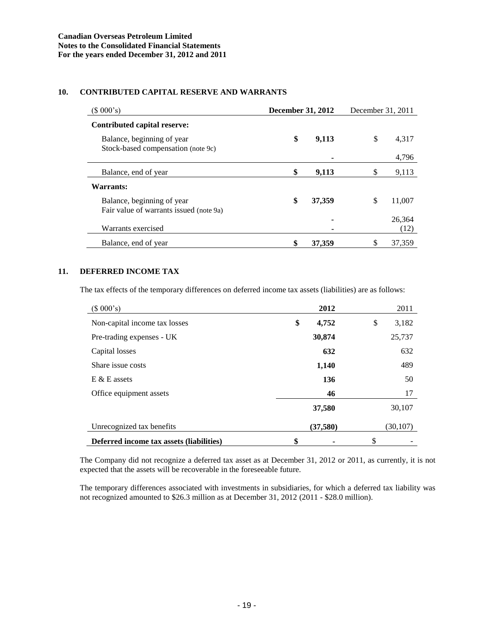## **10. CONTRIBUTED CAPITAL RESERVE AND WARRANTS**

| (\$000's)                               | <b>December 31, 2012</b> |        | December 31, 2011 |        |
|-----------------------------------------|--------------------------|--------|-------------------|--------|
| Contributed capital reserve:            |                          |        |                   |        |
| Balance, beginning of year              | \$                       | 9,113  | \$                | 4,317  |
| Stock-based compensation (note 9c)      |                          |        |                   | 4,796  |
| Balance, end of year                    | \$                       | 9,113  | \$                | 9,113  |
| Warrants:                               |                          |        |                   |        |
| Balance, beginning of year              | \$                       | 37,359 | \$                | 11,007 |
| Fair value of warrants issued (note 9a) |                          |        |                   |        |
|                                         |                          |        |                   | 26,364 |
| Warrants exercised                      |                          |        |                   | (12)   |
| Balance, end of year                    |                          | 37,359 |                   | 37,359 |

## **11. DEFERRED INCOME TAX**

The tax effects of the temporary differences on deferred income tax assets (liabilities) are as follows:

| (\$000's)                                | 2012        | 2011        |
|------------------------------------------|-------------|-------------|
| Non-capital income tax losses            | \$<br>4,752 | \$<br>3,182 |
| Pre-trading expenses - UK                | 30,874      | 25,737      |
| Capital losses                           | 632         | 632         |
| Share issue costs                        | 1,140       | 489         |
| $E \& E$ assets                          | 136         | 50          |
| Office equipment assets                  | 46          | 17          |
|                                          | 37,580      | 30,107      |
| Unrecognized tax benefits                | (37, 580)   | (30, 107)   |
| Deferred income tax assets (liabilities) | \$          | \$          |

The Company did not recognize a deferred tax asset as at December 31, 2012 or 2011, as currently, it is not expected that the assets will be recoverable in the foreseeable future.

The temporary differences associated with investments in subsidiaries, for which a deferred tax liability was not recognized amounted to \$26.3 million as at December 31, 2012 (2011 - \$28.0 million).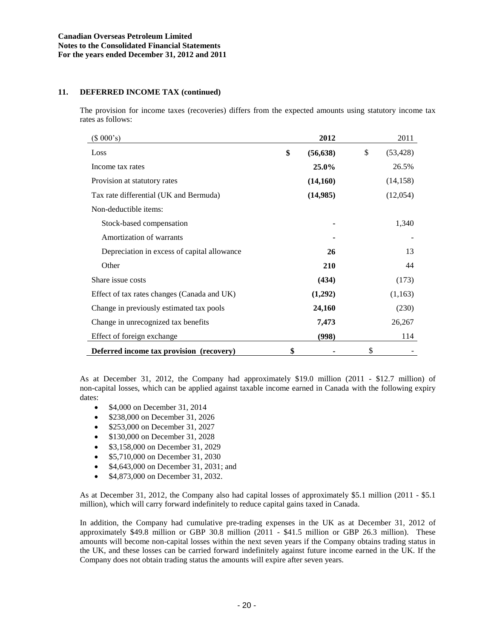### **11. DEFERRED INCOME TAX (continued)**

The provision for income taxes (recoveries) differs from the expected amounts using statutory income tax rates as follows:

| (\$000's)                                   | 2012            | 2011            |
|---------------------------------------------|-----------------|-----------------|
| Loss                                        | \$<br>(56, 638) | \$<br>(53, 428) |
| Income tax rates                            | 25.0%           | 26.5%           |
| Provision at statutory rates                | (14,160)        | (14, 158)       |
| Tax rate differential (UK and Bermuda)      | (14,985)        | (12,054)        |
| Non-deductible items:                       |                 |                 |
| Stock-based compensation                    |                 | 1,340           |
| Amortization of warrants                    |                 |                 |
| Depreciation in excess of capital allowance | 26              | 13              |
| Other                                       | 210             | 44              |
| Share issue costs                           | (434)           | (173)           |
| Effect of tax rates changes (Canada and UK) | (1,292)         | (1,163)         |
| Change in previously estimated tax pools    | 24,160          | (230)           |
| Change in unrecognized tax benefits         | 7,473           | 26,267          |
| Effect of foreign exchange                  | (998)           | 114             |
| Deferred income tax provision (recovery)    | \$              | \$              |

As at December 31, 2012, the Company had approximately \$19.0 million (2011 - \$12.7 million) of non-capital losses, which can be applied against taxable income earned in Canada with the following expiry dates:

- \$4,000 on December 31, 2014
- \$238,000 on December 31, 2026
- **•** \$253,000 on December 31, 2027
- \$130,000 on December 31, 2028
- **•** \$3,158,000 on December 31, 2029
- **•** \$5,710,000 on December 31, 2030
- \$4,643,000 on December 31, 2031; and
- \$4,873,000 on December 31, 2032.

As at December 31, 2012, the Company also had capital losses of approximately \$5.1 million (2011 - \$5.1 million), which will carry forward indefinitely to reduce capital gains taxed in Canada.

In addition, the Company had cumulative pre-trading expenses in the UK as at December 31, 2012 of approximately \$49.8 million or GBP 30.8 million (2011 - \$41.5 million or GBP 26.3 million). These amounts will become non-capital losses within the next seven years if the Company obtains trading status in the UK, and these losses can be carried forward indefinitely against future income earned in the UK. If the Company does not obtain trading status the amounts will expire after seven years.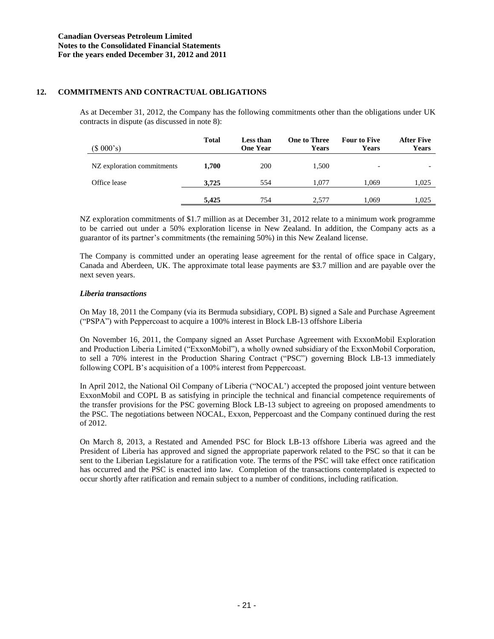## **12. COMMITMENTS AND CONTRACTUAL OBLIGATIONS**

As at December 31, 2012, the Company has the following commitments other than the obligations under UK contracts in dispute (as discussed in note 8):

| (\$000's)                  | <b>Total</b> | Less than<br><b>One Year</b> | <b>One to Three</b><br><b>Years</b> | <b>Four to Five</b><br><b>Years</b> | <b>After Five</b><br><b>Years</b> |
|----------------------------|--------------|------------------------------|-------------------------------------|-------------------------------------|-----------------------------------|
| NZ exploration commitments | 1.700        | <b>200</b>                   | 1,500                               | $\overline{\phantom{a}}$            |                                   |
| Office lease               | 3,725        | 554                          | 1.077                               | 1.069                               | 1,025                             |
|                            | 5.425        | 754                          | 2.577                               | 1.069                               | 1,025                             |

NZ exploration commitments of \$1.7 million as at December 31, 2012 relate to a minimum work programme to be carried out under a 50% exploration license in New Zealand. In addition, the Company acts as a guarantor of its partner's commitments (the remaining 50%) in this New Zealand license.

The Company is committed under an operating lease agreement for the rental of office space in Calgary, Canada and Aberdeen, UK. The approximate total lease payments are \$3.7 million and are payable over the next seven years.

## *Liberia transactions*

On May 18, 2011 the Company (via its Bermuda subsidiary, COPL B) signed a Sale and Purchase Agreement ("PSPA") with Peppercoast to acquire a 100% interest in Block LB-13 offshore Liberia

On November 16, 2011, the Company signed an Asset Purchase Agreement with ExxonMobil Exploration and Production Liberia Limited ("ExxonMobil"), a wholly owned subsidiary of the ExxonMobil Corporation, to sell a 70% interest in the Production Sharing Contract ("PSC") governing Block LB-13 immediately following COPL B's acquisition of a 100% interest from Peppercoast.

In April 2012, the National Oil Company of Liberia ("NOCAL') accepted the proposed joint venture between ExxonMobil and COPL B as satisfying in principle the technical and financial competence requirements of the transfer provisions for the PSC governing Block LB-13 subject to agreeing on proposed amendments to the PSC. The negotiations between NOCAL, Exxon, Peppercoast and the Company continued during the rest of 2012.

On March 8, 2013, a Restated and Amended PSC for Block LB-13 offshore Liberia was agreed and the President of Liberia has approved and signed the appropriate paperwork related to the PSC so that it can be sent to the Liberian Legislature for a ratification vote. The terms of the PSC will take effect once ratification has occurred and the PSC is enacted into law. Completion of the transactions contemplated is expected to occur shortly after ratification and remain subject to a number of conditions, including ratification.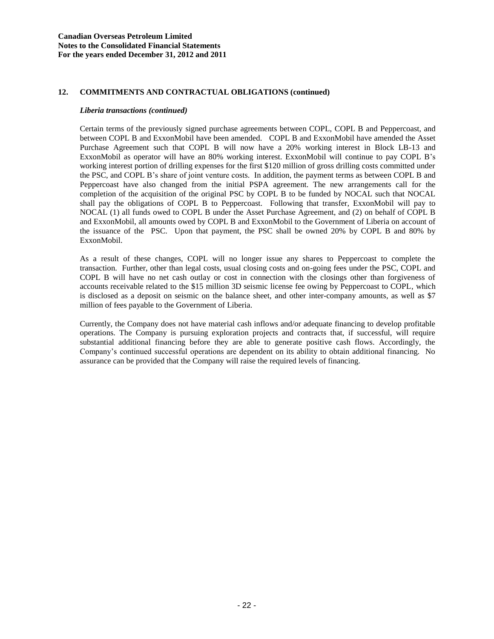### **12. COMMITMENTS AND CONTRACTUAL OBLIGATIONS (continued)**

#### *Liberia transactions (continued)*

Certain terms of the previously signed purchase agreements between COPL, COPL B and Peppercoast, and between COPL B and ExxonMobil have been amended. COPL B and ExxonMobil have amended the Asset Purchase Agreement such that COPL B will now have a 20% working interest in Block LB-13 and ExxonMobil as operator will have an 80% working interest. ExxonMobil will continue to pay COPL B's working interest portion of drilling expenses for the first \$120 million of gross drilling costs committed under the PSC, and COPL B's share of joint venture costs. In addition, the payment terms as between COPL B and Peppercoast have also changed from the initial PSPA agreement. The new arrangements call for the completion of the acquisition of the original PSC by COPL B to be funded by NOCAL such that NOCAL shall pay the obligations of COPL B to Peppercoast. Following that transfer, ExxonMobil will pay to NOCAL (1) all funds owed to COPL B under the Asset Purchase Agreement, and (2) on behalf of COPL B and ExxonMobil, all amounts owed by COPL B and ExxonMobil to the Government of Liberia on account of the issuance of the PSC. Upon that payment, the PSC shall be owned 20% by COPL B and 80% by ExxonMobil.

As a result of these changes, COPL will no longer issue any shares to Peppercoast to complete the transaction. Further, other than legal costs, usual closing costs and on-going fees under the PSC, COPL and COPL B will have no net cash outlay or cost in connection with the closings other than forgiveness of accounts receivable related to the \$15 million 3D seismic license fee owing by Peppercoast to COPL, which is disclosed as a deposit on seismic on the balance sheet, and other inter-company amounts, as well as \$7 million of fees payable to the Government of Liberia.

Currently, the Company does not have material cash inflows and/or adequate financing to develop profitable operations. The Company is pursuing exploration projects and contracts that, if successful, will require substantial additional financing before they are able to generate positive cash flows. Accordingly, the Company's continued successful operations are dependent on its ability to obtain additional financing. No assurance can be provided that the Company will raise the required levels of financing.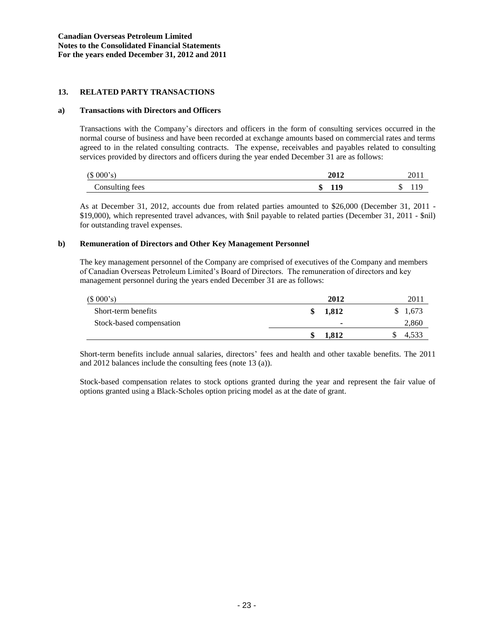### **13. RELATED PARTY TRANSACTIONS**

### **a) Transactions with Directors and Officers**

Transactions with the Company's directors and officers in the form of consulting services occurred in the normal course of business and have been recorded at exchange amounts based on commercial rates and terms agreed to in the related consulting contracts. The expense, receivables and payables related to consulting services provided by directors and officers during the year ended December 31 are as follows:

| (\$000's)                | 2012    |   |
|--------------------------|---------|---|
| tees<br>$\sim$ onsulting | ۱D<br>. | . |

As at December 31, 2012, accounts due from related parties amounted to \$26,000 (December 31, 2011 - \$19,000), which represented travel advances, with \$nil payable to related parties (December 31, 2011 - \$nil) for outstanding travel expenses.

### **b) Remuneration of Directors and Other Key Management Personnel**

The key management personnel of the Company are comprised of executives of the Company and members of Canadian Overseas Petroleum Limited's Board of Directors. The remuneration of directors and key management personnel during the years ended December 31 are as follows:

| (S 000's)                | 2012        | 201         |
|--------------------------|-------------|-------------|
| Short-term benefits      | 1.812<br>ъ  | 1,673<br>S. |
| Stock-based compensation |             | 2,860       |
|                          | 1.812<br>٠П | 4,533       |

Short-term benefits include annual salaries, directors' fees and health and other taxable benefits. The 2011 and 2012 balances include the consulting fees (note 13 (a)).

Stock-based compensation relates to stock options granted during the year and represent the fair value of options granted using a Black-Scholes option pricing model as at the date of grant.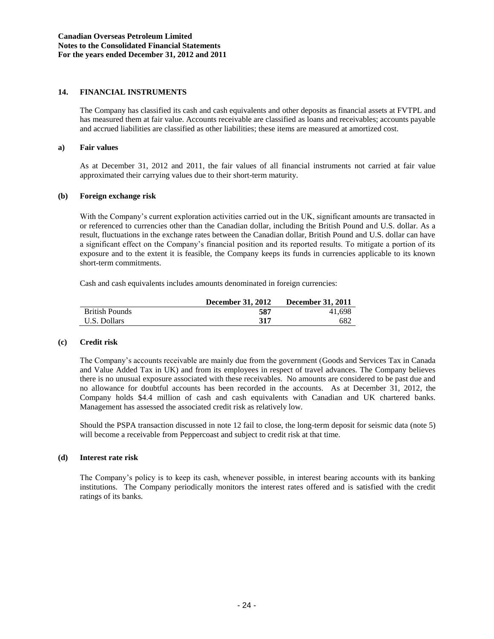### **14. FINANCIAL INSTRUMENTS**

The Company has classified its cash and cash equivalents and other deposits as financial assets at FVTPL and has measured them at fair value. Accounts receivable are classified as loans and receivables; accounts payable and accrued liabilities are classified as other liabilities; these items are measured at amortized cost.

#### **a) Fair values**

As at December 31, 2012 and 2011, the fair values of all financial instruments not carried at fair value approximated their carrying values due to their short-term maturity.

### **(b) Foreign exchange risk**

With the Company's current exploration activities carried out in the UK, significant amounts are transacted in or referenced to currencies other than the Canadian dollar, including the British Pound and U.S. dollar. As a result, fluctuations in the exchange rates between the Canadian dollar, British Pound and U.S. dollar can have a significant effect on the Company's financial position and its reported results. To mitigate a portion of its exposure and to the extent it is feasible, the Company keeps its funds in currencies applicable to its known short-term commitments.

Cash and cash equivalents includes amounts denominated in foreign currencies:

|                       | <b>December 31, 2012</b> | <b>December 31, 2011</b> |
|-----------------------|--------------------------|--------------------------|
| <b>British Pounds</b> | 587                      | 41.698                   |
| U.S. Dollars          | 317                      | 682                      |

#### **(c) Credit risk**

The Company's accounts receivable are mainly due from the government (Goods and Services Tax in Canada and Value Added Tax in UK) and from its employees in respect of travel advances. The Company believes there is no unusual exposure associated with these receivables. No amounts are considered to be past due and no allowance for doubtful accounts has been recorded in the accounts. As at December 31, 2012, the Company holds \$4.4 million of cash and cash equivalents with Canadian and UK chartered banks. Management has assessed the associated credit risk as relatively low.

Should the PSPA transaction discussed in note 12 fail to close, the long-term deposit for seismic data (note 5) will become a receivable from Peppercoast and subject to credit risk at that time.

### **(d) Interest rate risk**

The Company's policy is to keep its cash, whenever possible, in interest bearing accounts with its banking institutions. The Company periodically monitors the interest rates offered and is satisfied with the credit ratings of its banks.